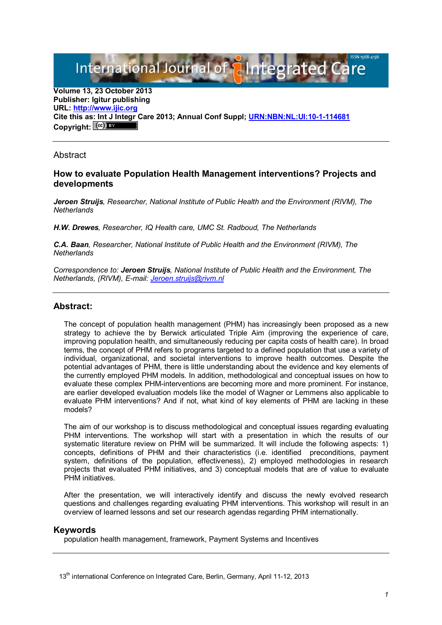International Journal of aIntegrated

**Volume 13, 23 October 2013 Publisher: Igitur publishing URL: [http://www.ijic.org](http://www.ijic.org/) Cite this as: Int J Integr Care 2013; Annual Conf Suppl; [URN:NBN:NL:UI:10-1-114681](http://persistent-identifier.nl/?identifier=URN:NBN:NL:UI:10-1-114681)** Copyright:  $(cc)$ 

**Abstract** 

## **How to evaluate Population Health Management interventions? Projects and developments**

*Jeroen Struijs, Researcher, National Institute of Public Health and the Environment (RIVM), The Netherlands*

*H.W. Drewes, Researcher, IQ Health care, UMC St. Radboud, The Netherlands*

*C.A. Baan, Researcher, National Institute of Public Health and the Environment (RIVM), The Netherlands*

*Correspondence to: Jeroen Struijs, National Institute of Public Health and the Environment, The Netherlands, (RIVM), E-mail: [Jeroen.struijs@rivm.nl](mailto:Jeroen.struijs@rivm.nl)*

## **Abstract:**

The concept of population health management (PHM) has increasingly been proposed as a new strategy to achieve the by Berwick articulated Triple Aim (improving the experience of care, improving population health, and simultaneously reducing per capita costs of health care). In broad terms, the concept of PHM refers to programs targeted to a defined population that use a variety of individual, organizational, and societal interventions to improve health outcomes. Despite the potential advantages of PHM, there is little understanding about the evidence and key elements of the currently employed PHM models. In addition, methodological and conceptual issues on how to evaluate these complex PHM-interventions are becoming more and more prominent. For instance, are earlier developed evaluation models like the model of Wagner or Lemmens also applicable to evaluate PHM interventions? And if not, what kind of key elements of PHM are lacking in these models?

The aim of our workshop is to discuss methodological and conceptual issues regarding evaluating PHM interventions. The workshop will start with a presentation in which the results of our systematic literature review on PHM will be summarized. It will include the following aspects: 1) concepts, definitions of PHM and their characteristics (i.e. identified preconditions, payment system, definitions of the population, effectiveness), 2) employed methodologies in research projects that evaluated PHM initiatives, and 3) conceptual models that are of value to evaluate PHM initiatives.

After the presentation, we will interactively identify and discuss the newly evolved research questions and challenges regarding evaluating PHM interventions. This workshop will result in an overview of learned lessons and set our research agendas regarding PHM internationally.

## **Keywords**

population health management, framework, Payment Systems and Incentives

13<sup>th</sup> international Conference on Integrated Care, Berlin, Germany, April 11-12, 2013